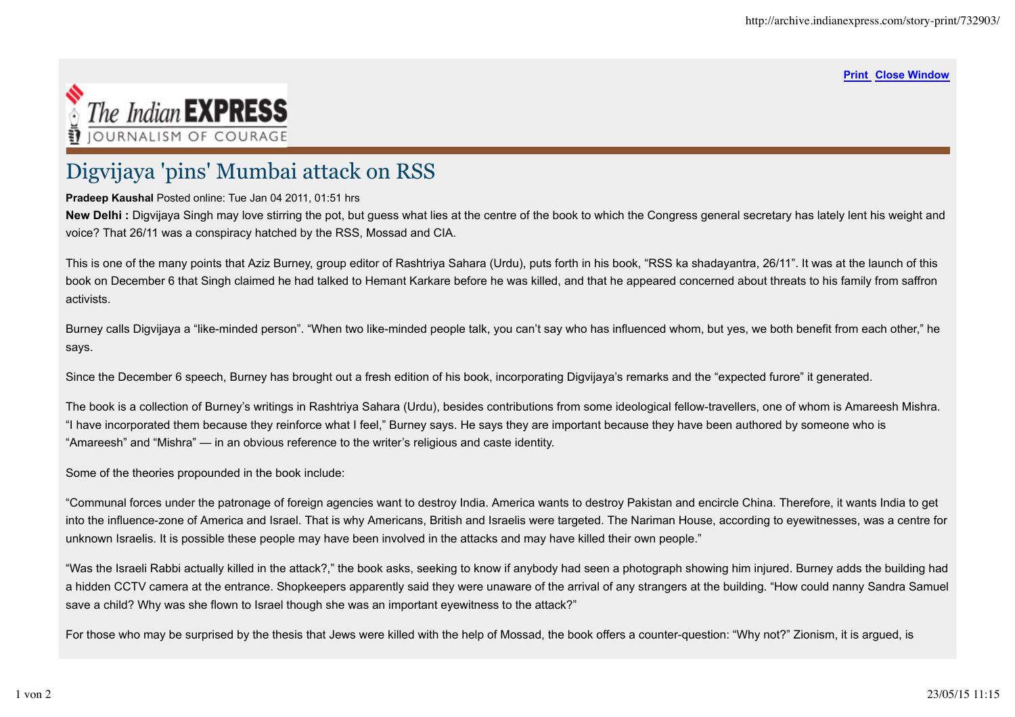## **Print Close Window**



## Digvijaya 'pins' Mumbai attack on RSS

## **Pradeep Kaushal** Posted online: Tue Jan 04 2011, 01:51 hrs

New Delhi : Digvijaya Singh may love stirring the pot, but guess what lies at the centre of the book to which the Congress general secretary has lately lent his weight and voice? That 26/11 was a conspiracy hatched by the RSS, Mossad and CIA.

This is one of the many points that Aziz Burney, group editor of Rashtriya Sahara (Urdu), puts forth in his book, "RSS ka shadayantra, 26/11". It was at the launch of this book on December 6 that Singh claimed he had talked to Hemant Karkare before he was killed, and that he appeared concerned about threats to his family from saffron activists.

Burney calls Digvijaya a "like-minded person". "When two like-minded people talk, you can't say who has influenced whom, but yes, we both benefit from each other," he says.

Since the December 6 speech, Burney has brought out a fresh edition of his book, incorporating Digvijaya's remarks and the "expected furore" it generated.

The book is a collection of Burney's writings in Rashtriya Sahara (Urdu), besides contributions from some ideological fellow-travellers, one of whom is Amareesh Mishra. "I have incorporated them because they reinforce what I feel," Burney says. He says they are important because they have been authored by someone who is "Amareesh" and "Mishra" — in an obvious reference to the writer's religious and caste identity.

Some of the theories propounded in the book include:

"Communal forces under the patronage of foreign agencies want to destroy India. America wants to destroy Pakistan and encircle China. Therefore, it wants India to get into the influence-zone of America and Israel. That is why Americans, British and Israelis were targeted. The Nariman House, according to eyewitnesses, was a centre for unknown Israelis. It is possible these people may have been involved in the attacks and may have killed their own people."

"Was the Israeli Rabbi actually killed in the attack?," the book asks, seeking to know if anybody had seen a photograph showing him injured. Burney adds the building had a hidden CCTV camera at the entrance. Shopkeepers apparently said they were unaware of the arrival of any strangers at the building. "How could nanny Sandra Samuel save a child? Why was she flown to Israel though she was an important eyewitness to the attack?"

For those who may be surprised by the thesis that Jews were killed with the help of Mossad, the book offers a counter-question: "Why not?" Zionism, it is argued, is